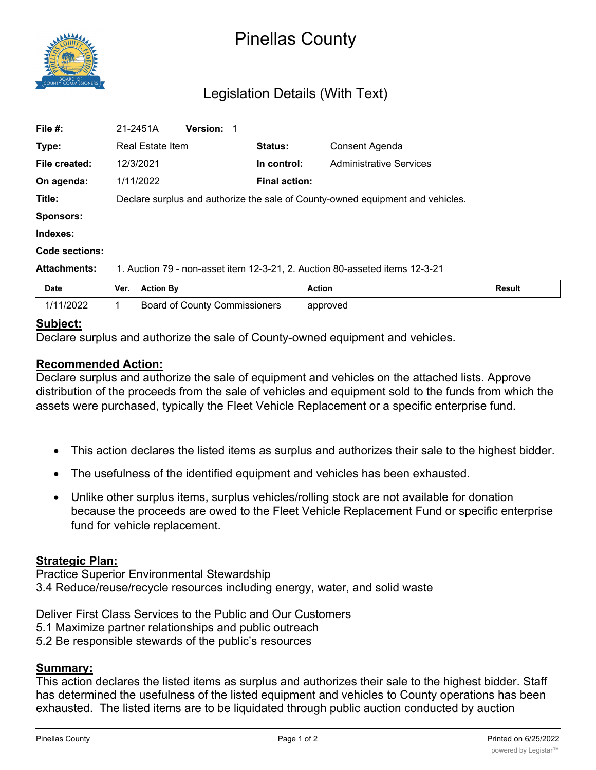

# Pinellas County

## Legislation Details (With Text)

| File #:             | 21-2451A                                                                       |                  | Version: 1                           |  |                      |                                |               |  |
|---------------------|--------------------------------------------------------------------------------|------------------|--------------------------------------|--|----------------------|--------------------------------|---------------|--|
| Type:               | <b>Real Estate Item</b>                                                        |                  |                                      |  | <b>Status:</b>       | Consent Agenda                 |               |  |
| File created:       | 12/3/2021                                                                      |                  |                                      |  | In control:          | <b>Administrative Services</b> |               |  |
| On agenda:          |                                                                                | 1/11/2022        |                                      |  | <b>Final action:</b> |                                |               |  |
| Title:              | Declare surplus and authorize the sale of County-owned equipment and vehicles. |                  |                                      |  |                      |                                |               |  |
| <b>Sponsors:</b>    |                                                                                |                  |                                      |  |                      |                                |               |  |
| Indexes:            |                                                                                |                  |                                      |  |                      |                                |               |  |
| Code sections:      |                                                                                |                  |                                      |  |                      |                                |               |  |
| <b>Attachments:</b> | 1. Auction 79 - non-asset item 12-3-21, 2. Auction 80-asseted items 12-3-21    |                  |                                      |  |                      |                                |               |  |
| Date                | Ver.                                                                           | <b>Action By</b> |                                      |  |                      | Action                         | <b>Result</b> |  |
| 1/11/2022           |                                                                                |                  | <b>Board of County Commissioners</b> |  |                      | approved                       |               |  |

#### **Subject:**

Declare surplus and authorize the sale of County-owned equipment and vehicles.

#### **Recommended Action:**

Declare surplus and authorize the sale of equipment and vehicles on the attached lists. Approve distribution of the proceeds from the sale of vehicles and equipment sold to the funds from which the assets were purchased, typically the Fleet Vehicle Replacement or a specific enterprise fund.

- · This action declares the listed items as surplus and authorizes their sale to the highest bidder.
- · The usefulness of the identified equipment and vehicles has been exhausted.
- Unlike other surplus items, surplus vehicles/rolling stock are not available for donation because the proceeds are owed to the Fleet Vehicle Replacement Fund or specific enterprise fund for vehicle replacement.

#### **Strategic Plan:**

Practice Superior Environmental Stewardship 3.4 Reduce/reuse/recycle resources including energy, water, and solid waste

Deliver First Class Services to the Public and Our Customers

- 5.1 Maximize partner relationships and public outreach
- 5.2 Be responsible stewards of the public's resources

### **Summary:**

This action declares the listed items as surplus and authorizes their sale to the highest bidder. Staff has determined the usefulness of the listed equipment and vehicles to County operations has been exhausted. The listed items are to be liquidated through public auction conducted by auction